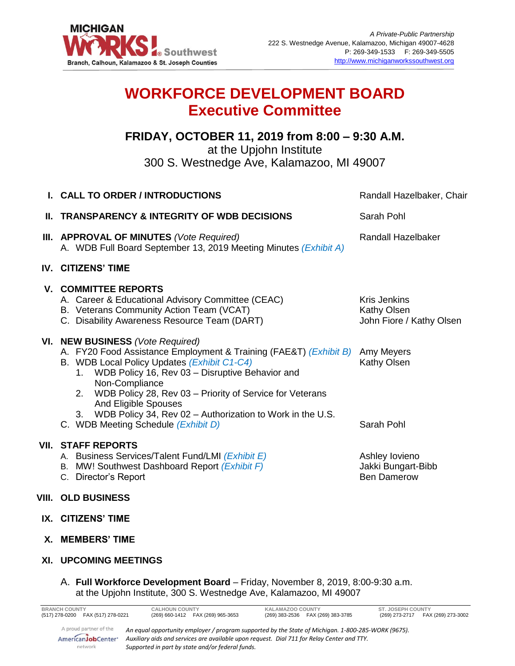

# **WORKFORCE DEVELOPMENT BOARD Executive Committee**

## **FRIDAY, OCTOBER 11, 2019 from 8:00 – 9:30 A.M.**

at the Upjohn Institute

300 S. Westnedge Ave, Kalamazoo, MI 49007

| I. CALL TO ORDER / INTRODUCTIONS                                                                                                                                                                                                                                                                                                                                                                                                                 | Randall Hazelbaker, Chair                                      |
|--------------------------------------------------------------------------------------------------------------------------------------------------------------------------------------------------------------------------------------------------------------------------------------------------------------------------------------------------------------------------------------------------------------------------------------------------|----------------------------------------------------------------|
| <b>II. TRANSPARENCY &amp; INTEGRITY OF WDB DECISIONS</b>                                                                                                                                                                                                                                                                                                                                                                                         | Sarah Pohl                                                     |
| III. APPROVAL OF MINUTES (Vote Required)<br>A. WDB Full Board September 13, 2019 Meeting Minutes (Exhibit A)                                                                                                                                                                                                                                                                                                                                     | Randall Hazelbaker                                             |
| <b>IV. CITIZENS' TIME</b>                                                                                                                                                                                                                                                                                                                                                                                                                        |                                                                |
| <b>V. COMMITTEE REPORTS</b><br>A. Career & Educational Advisory Committee (CEAC)<br>B. Veterans Community Action Team (VCAT)<br>C. Disability Awareness Resource Team (DART)                                                                                                                                                                                                                                                                     | <b>Kris Jenkins</b><br>Kathy Olsen<br>John Fiore / Kathy Olsen |
| VI. NEW BUSINESS (Vote Required)<br>A. FY20 Food Assistance Employment & Training (FAE&T) (Exhibit B)<br>B. WDB Local Policy Updates (Exhibit C1-C4)<br>1. WDB Policy 16, Rev 03 - Disruptive Behavior and<br>Non-Compliance<br>WDB Policy 28, Rev 03 - Priority of Service for Veterans<br>2 <sub>1</sub><br><b>And Eligible Spouses</b><br>3. WDB Policy 34, Rev 02 - Authorization to Work in the U.S.<br>C. WDB Meeting Schedule (Exhibit D) | Amy Meyers<br>Kathy Olsen<br>Sarah Pohl                        |
| <b>VII. STAFF REPORTS</b><br>A. Business Services/Talent Fund/LMI (Exhibit E)<br>B. MW! Southwest Dashboard Report (Exhibit F)<br>C. Director's Report                                                                                                                                                                                                                                                                                           | Ashley lovieno<br>Jakki Bungart-Bibb<br><b>Ben Damerow</b>     |
| VIII. OLD BUSINESS                                                                                                                                                                                                                                                                                                                                                                                                                               |                                                                |

- **IX. CITIZENS' TIME**
- **X. MEMBERS' TIME**
- **XI. UPCOMING MEETINGS**

### A. **Full Workforce Development Board** – Friday, November 8, 2019, 8:00-9:30 a.m. at the Upjohn Institute, 300 S. Westnedge Ave, Kalamazoo, MI 49007

| <b>BRANCH COUNTY</b><br>(517) 278-0200 FAX (517) 278-0221           | <b>CALHOUN COUNTY</b><br>(269) 660-1412  FAX (269) 965-3653                                                                                                                                                                                          | <b>KALAMAZOO COUNTY</b><br>(269) 383-2536  FAX (269) 383-3785 | <b>ST. JOSEPH COUNTY</b><br>FAX (269) 273-3002<br>(269) 273-2717 |
|---------------------------------------------------------------------|------------------------------------------------------------------------------------------------------------------------------------------------------------------------------------------------------------------------------------------------------|---------------------------------------------------------------|------------------------------------------------------------------|
| A proud partner of the<br>AmericanJobCenter <sup>*</sup><br>network | An equal opportunity employer / program supported by the State of Michigan. 1-800-285-WORK (9675).<br>Auxiliary aids and services are available upon request. Dial 711 for Relay Center and TTY.<br>Supported in part by state and/or federal funds. |                                                               |                                                                  |